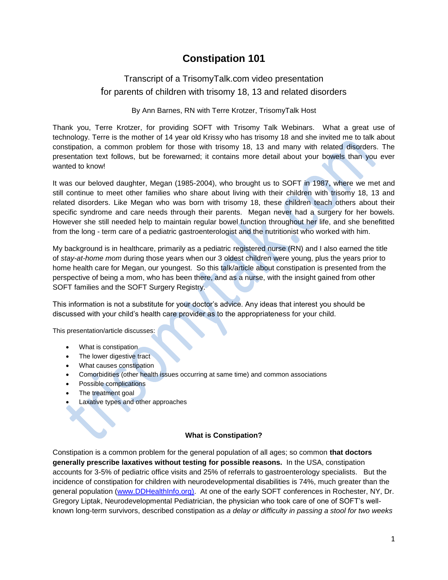# **Constipation 101**

# Transcript of a TrisomyTalk.com video presentation for parents of children with trisomy 18, 13 and related disorders

#### By Ann Barnes, RN with Terre Krotzer, TrisomyTalk Host

Thank you, Terre Krotzer, for providing SOFT with Trisomy Talk Webinars. What a great use of technology. Terre is the mother of 14 year old Krissy who has trisomy 18 and she invited me to talk about constipation, a common problem for those with trisomy 18, 13 and many with related disorders. The presentation text follows, but be forewarned; it contains more detail about your bowels than you ever wanted to know!

It was our beloved daughter, Megan (1985-2004), who brought us to SOFT in 1987, where we met and still continue to meet other families who share about living with their children with trisomy 18, 13 and related disorders. Like Megan who was born with trisomy 18, these children teach others about their specific syndrome and care needs through their parents. Megan never had a surgery for her bowels. However she still needed help to maintain regular bowel function throughout her life, and she benefitted from the long - term care of a pediatric gastroenterologist and the nutritionist who worked with him.

My background is in healthcare, primarily as a pediatric registered nurse (RN) and I also earned the title of *stay-at-home mom* during those years when our 3 oldest children were young, plus the years prior to home health care for Megan, our youngest. So this talk/article about constipation is presented from the perspective of being a mom, who has been there, and as a nurse, with the insight gained from other SOFT families and the SOFT Surgery Registry.

This information is not a substitute for your doctor's advice. Any ideas that interest you should be discussed with your child's health care provider as to the appropriateness for your child.

This presentation/article discusses:

- What is constipation
- The lower digestive tract
- What causes constipation
- Comorbidities (other health issues occurring at same time) and common associations
- Possible complications
- The treatment goal
- Laxative types and other approaches

#### **What is Constipation?**

Constipation is a common problem for the general population of all ages; so common **that doctors generally prescribe laxatives without testing for possible reasons.** In the USA, constipation accounts for 3-5% of pediatric office visits and 25% of referrals to gastroenterology specialists. But the incidence of constipation for children with neurodevelopmental disabilities is 74%, much greater than the general population [\(www.DDHealthInfo.org\)](http://www.ddhealthinfo.org/). At one of the early SOFT conferences in Rochester, NY, Dr. Gregory Liptak, Neurodevelopmental Pediatrician, the physician who took care of one of SOFT's wellknown long-term survivors, described constipation as *a delay or difficulty in passing a stool for two weeks*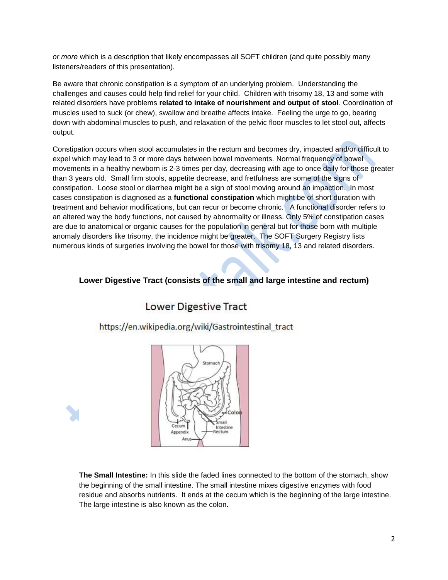*or more* which is a description that likely encompasses all SOFT children (and quite possibly many listeners/readers of this presentation).

Be aware that chronic constipation is a symptom of an underlying problem. Understanding the challenges and causes could help find relief for your child. Children with trisomy 18, 13 and some with related disorders have problems **related to intake of nourishment and output of stool**. Coordination of muscles used to suck (or chew), swallow and breathe affects intake. Feeling the urge to go, bearing down with abdominal muscles to push, and relaxation of the pelvic floor muscles to let stool out, affects output.

Constipation occurs when stool accumulates in the rectum and becomes dry, impacted and/or difficult to expel which may lead to 3 or more days between bowel movements. Normal frequency of bowel movements in a healthy newborn is 2-3 times per day, decreasing with age to once daily for those greater than 3 years old. Small firm stools, appetite decrease, and fretfulness are some of the signs of constipation. Loose stool or diarrhea might be a sign of stool moving around an impaction. In most cases constipation is diagnosed as a **functional constipation** which might be of short duration with treatment and behavior modifications, but can recur or become chronic. A functional disorder refers to an altered way the body functions, not caused by abnormality or illness. Only 5% of constipation cases are due to anatomical or organic causes for the population in general but for those born with multiple anomaly disorders like trisomy, the incidence might be greater. The SOFT Surgery Registry lists numerous kinds of surgeries involving the bowel for those with trisomy 18, 13 and related disorders.

# **Lower Digestive Tract (consists of the small and large intestine and rectum)**

# **Lower Digestive Tract**

https://en.wikipedia.org/wiki/Gastrointestinal tract



**The Small Intestine:** In this slide the faded lines connected to the bottom of the stomach, show the beginning of the small intestine. The small intestine mixes digestive enzymes with food residue and absorbs nutrients. It ends at the cecum which is the beginning of the large intestine. The large intestine is also known as the colon.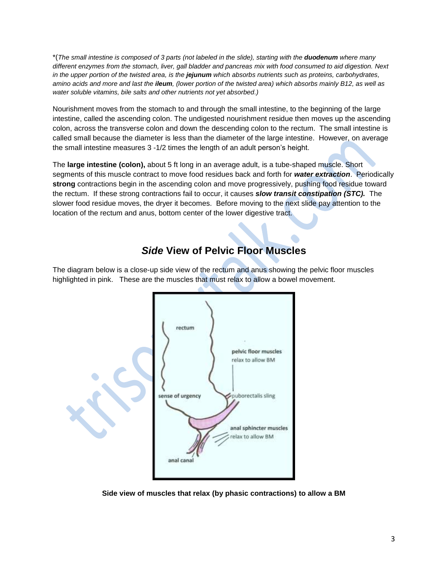\*(*The small intestine is composed of 3 parts (not labeled in the slide), starting with the duodenum where many different enzymes from the stomach, liver, gall bladder and pancreas mix with food consumed to aid digestion. Next in the upper portion of the twisted area, is the jejunum which absorbs nutrients such as proteins, carbohydrates, amino acids and more and last the ileum, (lower portion of the twisted area) which absorbs mainly B12, as well as water soluble vitamins, bile salts and other nutrients not yet absorbed.)*

Nourishment moves from the stomach to and through the small intestine, to the beginning of the large intestine, called the ascending colon. The undigested nourishment residue then moves up the ascending colon, across the transverse colon and down the descending colon to the rectum. The small intestine is called small because the diameter is less than the diameter of the large intestine. However, on average the small intestine measures 3 -1/2 times the length of an adult person's height.

The **large intestine (colon),** about 5 ft long in an average adult, is a tube-shaped muscle. Short segments of this muscle contract to move food residues back and forth for *water extraction*. Periodically **strong** contractions begin in the ascending colon and move progressively, pushing food residue toward the rectum. If these strong contractions fail to occur, it causes *slow transit constipation (STC).* The slower food residue moves, the dryer it becomes. Before moving to the next slide pay attention to the location of the rectum and anus, bottom center of the lower digestive tract.

# *Side* **View of Pelvic Floor Muscles**

The diagram below is a close-up side view of the rectum and anus showing the pelvic floor muscles highlighted in pink. These are the muscles that must relax to allow a bowel movement.



**Side view of muscles that relax (by phasic contractions) to allow a BM**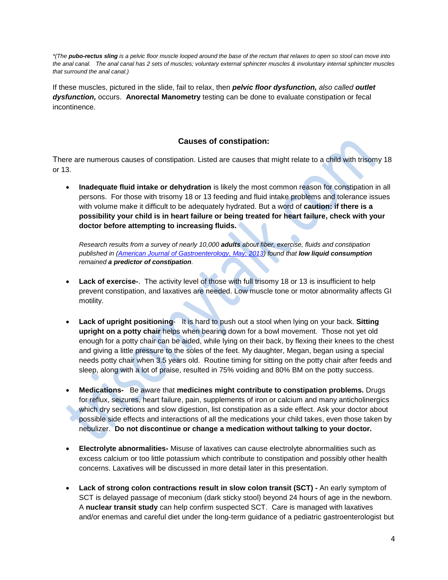*\*(The pubo-rectus sling is a pelvic floor muscle looped around the base of the rectum that relaxes to open so stool can move into the anal canal. The anal canal has 2 sets of muscles; voluntary external sphincter muscles & involuntary internal sphincter muscles that surround the anal canal.)*

If these muscles, pictured in the slide, fail to relax, then *pelvic floor dysfunction, also called outlet dysfunction,* occurs. **Anorectal Manometry** testing can be done to evaluate constipation or fecal incontinence.

### **Causes of constipation:**

There are numerous causes of constipation. Listed are causes that might relate to a child with trisomy 18 or 13.

 **Inadequate fluid intake or dehydration** is likely the most common reason for constipation in all persons. For those with trisomy 18 or 13 feeding and fluid intake problems and tolerance issues with volume make it difficult to be adequately hydrated. But a word of **caution: if there is a possibility your child is in heart failure or being treated for heart failure, check with your doctor before attempting to increasing fluids.** 

*Research results from a survey of nearly 10,000 adults about fiber, exercise, fluids and constipation published in [\(American Journal of Gastroenterology, May, 2013\)](http://www.nature.com/ajg/journal/v108/n5/abs/ajg201373a.html) found that low liquid consumption remained a predictor of constipation.*

- **Lack of exercise-**. The activity level of those with full trisomy 18 or 13 is insufficient to help prevent constipation, and laxatives are needed. Low muscle tone or motor abnormality affects GI motility.
- **Lack of upright positioning** It is hard to push out a stool when lying on your back. **Sitting upright on a potty chair** helps when bearing down for a bowl movement. Those not yet old enough for a potty chair can be aided, while lying on their back, by flexing their knees to the chest and giving a little pressure to the soles of the feet. My daughter, Megan, began using a special needs potty chair when 3.5 years old. Routine timing for sitting on the potty chair after feeds and sleep, along with a lot of praise, resulted in 75% voiding and 80% BM on the potty success.
- **Medications-** Be aware that **medicines might contribute to constipation problems.** Drugs for reflux, seizures, heart failure, pain, supplements of iron or calcium and many anticholinergics which dry secretions and slow digestion, list constipation as a side effect. Ask your doctor about possible side effects and interactions of all the medications your child takes, even those taken by nebulizer. **Do not discontinue or change a medication without talking to your doctor.**
- **Electrolyte abnormalities-** Misuse of laxatives can cause electrolyte abnormalities such as excess calcium or too little potassium which contribute to constipation and possibly other health concerns. Laxatives will be discussed in more detail later in this presentation.
- **Lack of strong colon contractions result in slow colon transit (SCT) -** An early symptom of SCT is delayed passage of meconium (dark sticky stool) beyond 24 hours of age in the newborn. A **nuclear transit study** can help confirm suspected SCT. Care is managed with laxatives and/or enemas and careful diet under the long-term guidance of a pediatric gastroenterologist but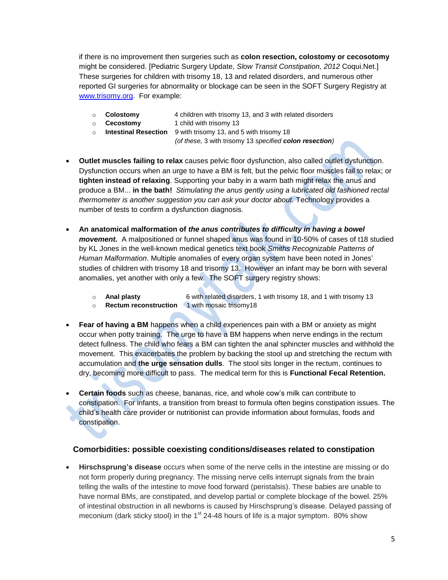if there is no improvement then surgeries such as **colon resection, colostomy or cecosotomy** might be considered. [Pediatric Surgery Update, *Slow Transit Constipation, 2012* Coqui.Net.] These surgeries for children with trisomy 18, 13 and related disorders, and numerous other reported GI surgeries for abnormality or blockage can be seen in the SOFT Surgery Registry at [www.trisomy.org.](http://www.trisomy.org/) For example:

- o **Colostomy** 4 children with trisomy 13, and 3 with related disorders
- o **Cecostomy** 1 child with trisomy 13
- o **Intestinal Resection** 9 with trisomy 13, and 5 with trisomy 18 *(of these,* 3 with trisomy 13 *specified colon resection)*
- **Outlet muscles failing to relax** causes pelvic floor dysfunction, also called outlet dysfunction. Dysfunction occurs when an urge to have a BM is felt, but the pelvic floor muscles fail to relax; or **tighten instead of relaxing**. Supporting your baby in a warm bath might relax the anus and produce a BM... **in the bath!** *Stimulating the anus gently using a lubricated old fashioned rectal thermometer is another suggestion you can ask your doctor about.* Technology provides a number of tests to confirm a dysfunction diagnosis.
- **An anatomical malformation of** *the anus contributes to difficulty in having a bowel movement.* A malpositioned or funnel shaped anus was found in 10-50% of cases of t18 studied by KL Jones in the well-known medical genetics text book *Smiths Recognizable Patterns of Human Malformation*. Multiple anomalies of every organ system have been noted in Jones' studies of children with trisomy 18 and trisomy 13. However an infant may be born with several anomalies, yet another with only a few. The SOFT surgery registry shows:
	- o **Anal plasty** 6 with related disorders, 1 with trisomy 18, and 1 with trisomy 13
	- o **Rectum reconstruction** 1 with mosaic trisomy18
- **Fear of having a BM** happens when a child experiences pain with a BM or anxiety as might occur when potty training. The urge to have a BM happens when nerve endings in the rectum detect fullness. The child who fears a BM can tighten the anal sphincter muscles and withhold the movement. This exacerbates the problem by backing the stool up and stretching the rectum with accumulation and **the urge sensation dulls**. The stool sits longer in the rectum, continues to dry, becoming more difficult to pass. The medical term for this is **Functional Fecal Retention.**
- **Certain foods** such as cheese, bananas, rice, and whole cow's milk can contribute to constipation. For infants, a transition from breast to formula often begins constipation issues. The child's health care provider or nutritionist can provide information about formulas, foods and constipation.

### **Comorbidities: possible coexisting conditions/diseases related to constipation**

 **Hirschsprung's disease** occurs when some of the nerve cells in the intestine are missing or do not form properly during pregnancy. The missing nerve cells interrupt signals from the brain telling the walls of the intestine to move food forward (peristalsis). These babies are unable to have normal BMs, are constipated, and develop partial or complete blockage of the bowel. 25% of intestinal obstruction in all newborns is caused by Hirschsprung's disease. Delayed passing of meconium (dark sticky stool) in the 1<sup>st</sup> 24-48 hours of life is a major symptom. 80% show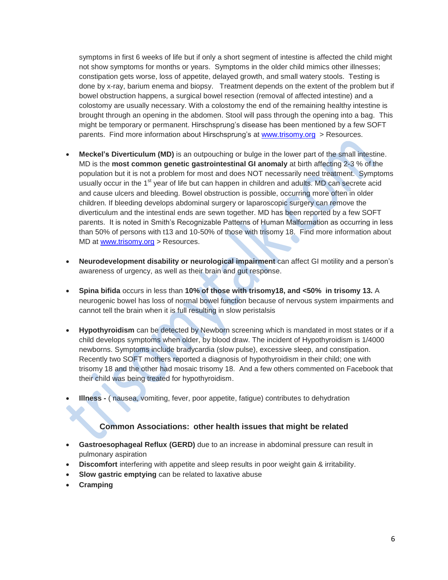symptoms in first 6 weeks of life but if only a short segment of intestine is affected the child might not show symptoms for months or years. Symptoms in the older child mimics other illnesses; constipation gets worse, loss of appetite, delayed growth, and small watery stools. Testing is done by x-ray, barium enema and biopsy. Treatment depends on the extent of the problem but if bowel obstruction happens, a surgical bowel resection (removal of affected intestine) and a colostomy are usually necessary. With a colostomy the end of the remaining healthy intestine is brought through an opening in the abdomen. Stool will pass through the opening into a bag. This might be temporary or permanent. Hirschsprung's disease has been mentioned by a few SOFT parents. Find more information about Hirschsprung's at [www.trisomy.org](http://www.trisomy.org/) > Resources.

- **Meckel's Diverticulum (MD)** is an outpouching or bulge in the lower part of the small intestine. MD is the **most common genetic gastrointestinal GI anomaly** at birth affecting 2-3 % of the population but it is not a problem for most and does NOT necessarily need treatment. Symptoms usually occur in the 1<sup>st</sup> year of life but can happen in children and adults. MD can secrete acid and cause ulcers and bleeding. Bowel obstruction is possible, occurring more often in older children. If bleeding develops abdominal surgery or laparoscopic surgery can remove the diverticulum and the intestinal ends are sewn together. MD has been reported by a few SOFT parents. It is noted in Smith's Recognizable Patterns of Human Malformation as occurring in less than 50% of persons with t13 and 10-50% of those with trisomy 18. Find more information about MD at [www.trisomy.org](http://www.trisomy.org/) > Resources.
- **Neurodevelopment disability or neurological impairment** can affect GI motility and a person's awareness of urgency, as well as their brain and gut response.
- **Spina bifida** occurs in less than **10% of those with trisomy18, and <50% in trisomy 13.** A neurogenic bowel has loss of normal bowel function because of nervous system impairments and cannot tell the brain when it is full resulting in slow peristalsis
- **Hypothyroidism** can be detected by Newborn screening which is mandated in most states or if a child develops symptoms when older, by blood draw. The incident of Hypothyroidism is 1/4000 newborns. Symptoms include bradycardia (slow pulse), excessive sleep, and constipation. Recently two SOFT mothers reported a diagnosis of hypothyroidism in their child; one with trisomy 18 and the other had mosaic trisomy 18. And a few others commented on Facebook that their child was being treated for hypothyroidism.
- **Illness -** ( nausea, vomiting, fever, poor appetite, fatigue) contributes to dehydration

### **Common Associations: other health issues that might be related**

- **Gastroesophageal Reflux (GERD)** due to an increase in abdominal pressure can result in pulmonary aspiration
- **Discomfort** interfering with appetite and sleep results in poor weight gain & irritability.
- **Slow gastric emptying** can be related to laxative abuse
- **Cramping**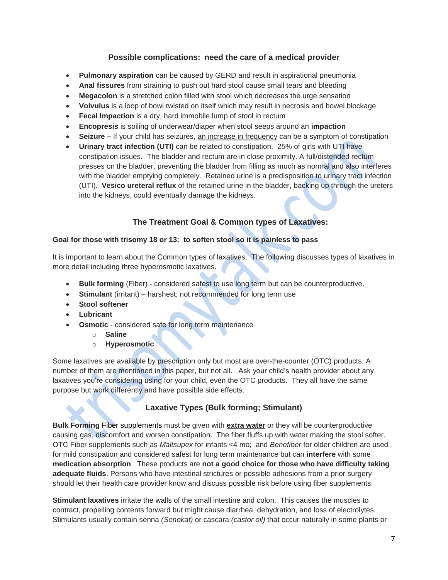## **Possible complications: need the care of a medical provider**

- **Pulmonary aspiration** can be caused by GERD and result in aspirational pneumonia
- **Anal fissures** from straining to push out hard stool cause small tears and bleeding
- **Megacolon** is a stretched colon filled with stool which decreases the urge sensation
- **Volvulus** is a loop of bowl twisted on itself which may result in necrosis and bowel blockage
- **Fecal Impaction** is a dry, hard immobile lump of stool in rectum
- **Encopresis** is soiling of underwear/diaper when stool seeps around an **impaction**
- **Seizure –** If your child has seizures, an increase in frequency can be a symptom of constipation
- **Urinary tract infection (UTI)** can be related to constipation. 25% of girls with UTI have constipation issues. The bladder and rectum are in close proximity. A full/distended rectum presses on the bladder, preventing the bladder from filling as much as normal and also interferes with the bladder emptying completely. Retained urine is a predisposition to urinary tract infection (UTI). **Vesico ureteral reflux** of the retained urine in the bladder, backing up through the ureters into the kidneys, could eventually damage the kidneys.

## **The Treatment Goal & Common types of Laxatives:**

#### **Goal for those with trisomy 18 or 13: to soften stool so it is painless to pass**

It is important to learn about the Common types of laxatives. The following discusses types of laxatives in more detail including three hyperosmotic laxatives.

- **Bulk forming** (Fiber) considered safest to use long term but can be counterproductive.
- **Stimulant** (irritant) harshest; not recommended for long term use
- **Stool softener**
- **Lubricant**
- **Osmotic** considered safe for long term maintenance
	- o **Saline**
		- o **Hyperosmotic**

Some laxatives are available by prescription only but most are over-the-counter (OTC) products. A number of them are mentioned in this paper, but not all. Ask your child's health provider about any laxatives you're considering using for your child, even the OTC products. They all have the same purpose but work differently and have possible side effects.

# **Laxative Types (Bulk forming; Stimulant)**

**Bulk Forming** Fiber supplements must be given with **extra water** or they will be counterproductive causing gas, discomfort and worsen constipation. The fiber fluffs up with water making the stool softer. OTC Fiber supplements such as *Maltsupex* for infants <4 mo; and *Benefiber* for older children are used for mild constipation and considered safest for long term maintenance but can **interfere** with some **medication absorption**. These products are **not a good choice for those who have difficulty taking adequate fluids**. Persons who have intestinal strictures or possible adhesions from a prior surgery should let their health care provider know and discuss possible risk before using fiber supplements.

**Stimulant laxatives** irritate the walls of the small intestine and colon. This causes the muscles to contract, propelling contents forward but might cause diarrhea, dehydration, and loss of electrolytes. Stimulants usually contain senna *(Senokat)* or cascara *(castor oil)* that occur naturally in some plants or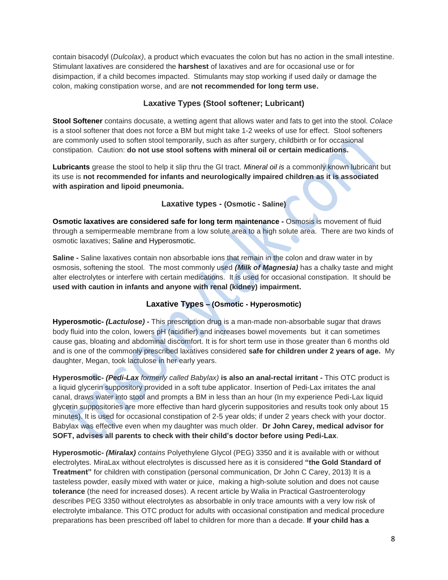contain bisacodyl (*Dulcolax)*, a product which evacuates the colon but has no action in the small intestine. Stimulant laxatives are considered the **harshest** of laxatives and are for occasional use or for disimpaction, if a child becomes impacted. Stimulants may stop working if used daily or damage the colon, making constipation worse, and are **not recommended for long term use.**

# **Laxative Types (Stool softener; Lubricant)**

**Stool Softener** contains docusate, a wetting agent that allows water and fats to get into the stool. *Colace* is a stool softener that does not force a BM but might take 1-2 weeks of use for effect. Stool softeners are commonly used to soften stool temporarily, such as after surgery, childbirth or for occasional constipation. Caution: **do not use stool softens with mineral oil or certain medications.**

**Lubricants** grease the stool to help it slip thru the GI tract. *Mineral oil is* a commonly known lubricant but its use is **not recommended for infants and neurologically impaired children as it is associated with aspiration and lipoid pneumonia.** 

### **Laxative types - (Osmotic - Saline)**

**Osmotic laxatives are considered safe for long term maintenance -** Osmosis is movement of fluid through a semipermeable membrane from a low solute area to a high solute area.There are two kinds of osmotic laxatives; Saline and Hyperosmotic.

**Saline -** Saline laxatives contain non absorbable ions that remain in the colon and draw water in by osmosis, softening the stool. The most commonly used *(Milk of Magnesia)* has a chalky taste and might alter electrolytes or interfere with certain medications. It is used for occasional constipation. It should be **used with caution in infants and anyone with renal (kidney) impairment.**

# **Laxative Types – (Osmotic - Hyperosmotic)**

**Hyperosmotic-** *(Lactulose)* **-** This prescription drug is a man-made non-absorbable sugar that draws body fluid into the colon, lowers pH (acidifier) and increases bowel movements but it can sometimes cause gas, bloating and abdominal discomfort. It is for short term use in those greater than 6 months old and is one of the commonly prescribed laxatives considered **safe for children under 2 years of age.** My daughter, Megan, took lactulose in her early years.

**Hyperosmotic-** *(Pedi-Lax formerly called Babylax)* **is also an anal-rectal irritant** *-* This OTC product is a liquid glycerin suppository provided in a soft tube applicator. Insertion of Pedi-Lax irritates the anal canal, draws water into stool and prompts a BM in less than an hour (In my experience Pedi-Lax liquid glycerin suppositories are more effective than hard glycerin suppositories and results took only about 15 minutes). It is used for occasional constipation of 2-5 year olds; if under 2 years check with your doctor. Babylax was effective even when my daughter was much older. **Dr John Carey, medical advisor for SOFT, advises all parents to check with their child's doctor before using Pedi-Lax**.

**Hyperosmotic-** *(Miralax) contains* Polyethylene Glycol (PEG) 3350 and it is available with or without electrolytes. MiraLax without electrolytes is discussed here as it is considered **"the Gold Standard of Treatment"** for children with constipation (personal communication, Dr John C Carey, 2013) It is a tasteless powder, easily mixed with water or juice, making a high-solute solution and does not cause **tolerance** (the need for increased doses). A recent article by Walia in Practical Gastroenterology describes PEG 3350 without electrolytes as absorbable in only trace amounts with a very low risk of electrolyte imbalance. This OTC product for adults with occasional constipation and medical procedure preparations has been prescribed off label to children for more than a decade. **If your child has a**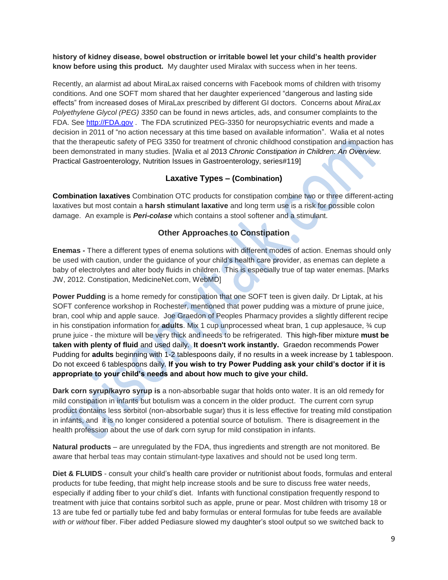**history of kidney disease, bowel obstruction or irritable bowel let your child's health provider know before using this product.** My daughter used Miralax with success when in her teens.

Recently, an alarmist ad about MiraLax raised concerns with Facebook moms of children with trisomy conditions. And one SOFT mom shared that her daughter experienced "dangerous and lasting side effects" from increased doses of MiraLax prescribed by different GI doctors. Concerns about *MiraLax Polyethylene Glycol (PEG) 3350* can be found in news articles, ads, and consumer complaints to the FDA. See [http://FDA.gov](http://fda.gov/) . The FDA scrutinized PEG-3350 for neuropsychiatric events and made a decision in 2011 of "no action necessary at this time based on available information". Walia et al notes that the therapeutic safety of PEG 3350 for treatment of chronic childhood constipation and impaction has been demonstrated in many studies. [Walia et al 2013 *Chronic Constipation in Children: An Overview.*  Practical Gastroenterology, Nutrition Issues in Gastroenterology, series#119]

### **Laxative Types – (Combination)**

**Combination laxatives** Combination OTC products for constipation combine two or three different-acting laxatives but most contain a **harsh stimulant laxative** and long term use is a risk for possible colon damage. An example is *Peri-colase* which contains a stool softener and a stimulant.

# **Other Approaches to Constipation**

**Enemas -** There a different types of enema solutions with different modes of action. Enemas should only be used with caution, under the guidance of your child's health care provider, as enemas can deplete a baby of electrolytes and alter body fluids in children. This is especially true of tap water enemas. [Marks JW, 2012. Constipation, MedicineNet.com, WebMD]

**Power Pudding** is a home remedy for constipation that one SOFT teen is given daily. Dr Liptak, at his SOFT conference workshop in Rochester, mentioned that power pudding was a mixture of prune juice, bran, cool whip and apple sauce. Joe Graedon of Peoples Pharmacy provides a slightly different recipe in his constipation information for **adults**. Mix 1 cup unprocessed wheat bran, 1 cup applesauce, ¾ cup prune juice - the mixture will be very thick and needs to be refrigerated. This high-fiber mixture **must be taken with plenty of fluid** and used daily. **It doesn't work instantly.** Graedon recommends Power Pudding for **adults** beginning with 1-2 tablespoons daily, if no results in a week increase by 1 tablespoon. Do not exceed 6 tablespoons daily. **If you wish to try Power Pudding ask your child's doctor if it is appropriate to your child's needs and about how much to give your child.** 

**Dark corn syrup/kayro syrup is** a non-absorbable sugar that holds onto water. It is an old remedy for mild constipation in infants but botulism was a concern in the older product. The current corn syrup product contains less sorbitol (non-absorbable sugar) thus it is less effective for treating mild constipation in infants, and it is no longer considered a potential source of botulism. There is disagreement in the health profession about the use of dark corn syrup for mild constipation in infants.

**Natural products** – are unregulated by the FDA, thus ingredients and strength are not monitored. Be aware that herbal teas may contain stimulant-type laxatives and should not be used long term.

**Diet & FLUIDS** - consult your child's health care provider or nutritionist about foods, formulas and enteral products for tube feeding, that might help increase stools and be sure to discuss free water needs, especially if adding fiber to your child's diet. Infants with functional constipation frequently respond to treatment with juice that contains sorbitol such as apple, prune or pear. Most children with trisomy 18 or 13 are tube fed or partially tube fed and baby formulas or enteral formulas for tube feeds are available *with or without* fiber. Fiber added Pediasure slowed my daughter's stool output so we switched back to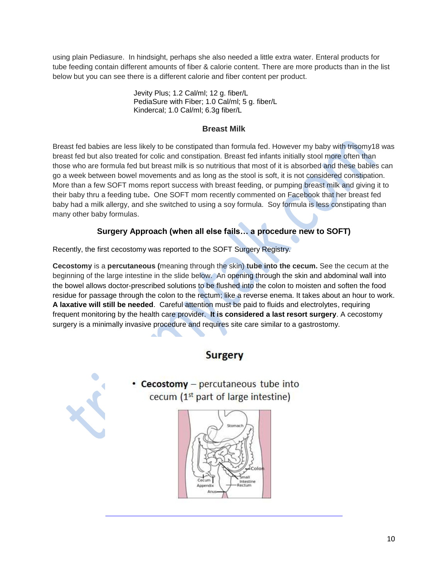using plain Pediasure. In hindsight, perhaps she also needed a little extra water. Enteral products for tube feeding contain different amounts of fiber & calorie content. There are more products than in the list below but you can see there is a different calorie and fiber content per product.

> Jevity Plus; 1.2 Cal/ml; 12 g. fiber/L PediaSure with Fiber; 1.0 Cal/ml; 5 g. fiber/L Kindercal; 1.0 Cal/ml; 6.3g fiber/L

## **Breast Milk**

Breast fed babies are less likely to be constipated than formula fed. However my baby with trisomy18 was breast fed but also treated for colic and constipation. Breast fed infants initially stool more often than those who are formula fed but breast milk is so nutritious that most of it is absorbed and these babies can go a week between bowel movements and as long as the stool is soft, it is not considered constipation. More than a few SOFT moms report success with breast feeding, or pumping breast milk and giving it to their baby thru a feeding tube**.** One SOFT mom recently commented on Facebook that her breast fed baby had a milk allergy, and she switched to using a soy formula. Soy formula is less constipating than many other baby formulas.

# **Surgery Approach (when all else fails… a procedure new to SOFT)**

Recently, the first cecostomy was reported to the SOFT Surgery Registry.

**Cecostomy** is a **percutaneous (**meaning through the skin) **tube into the cecum.** See the cecum at the beginning of the large intestine in the slide below.An opening through the skin and abdominal wall into the bowel allows doctor-prescribed solutions to be flushed into the colon to moisten and soften the food residue for passage through the colon to the rectum; like a reverse enema. It takes about an hour to work. **A laxative will still be needed**.Careful attention must be paid to fluids and electrolytes, requiring frequent monitoring by the health care provider. **It is considered a last resort surgery**. A cecostomy surgery is a minimally invasive procedure and requires site care similar to a gastrostomy.

# **Surgery**



• Cecostomy  $-$  percutaneous tube into cecum  $(1<sup>st</sup>$  part of large intestine)